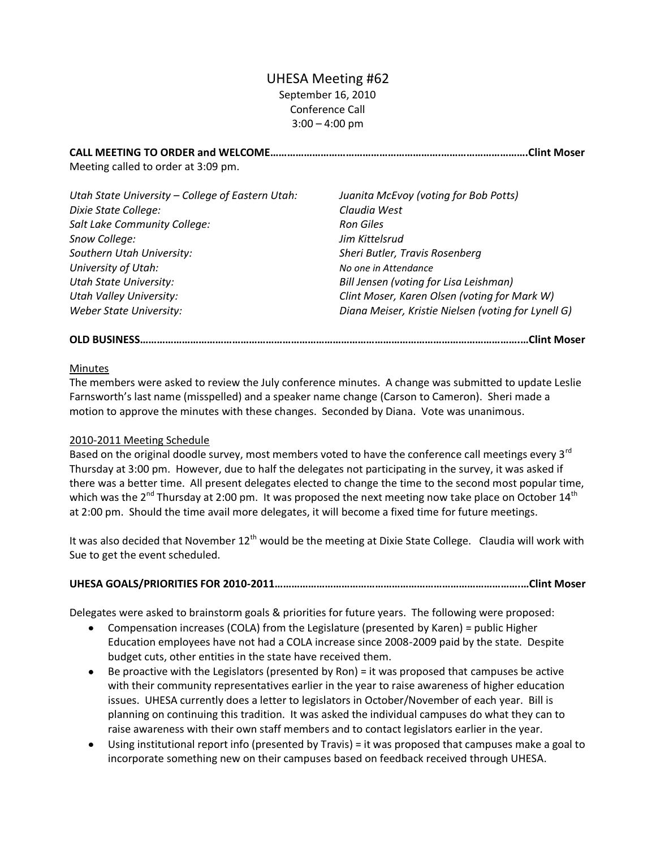# UHESA Meeting #62 September 16, 2010 Conference Call  $3:00 - 4:00$  pm

**CALL MEETING TO ORDER and WELCOME…………………………………………………….………………………….Clint Moser** Meeting called to order at 3:09 pm.

| Utah State University - College of Eastern Utah: | Juanita McEvoy (voting for Bob Potts)               |
|--------------------------------------------------|-----------------------------------------------------|
| Dixie State College:                             | Claudia West                                        |
| Salt Lake Community College:                     | <b>Ron Giles</b>                                    |
| Snow College:                                    | Jim Kittelsrud                                      |
| Southern Utah University:                        | Sheri Butler, Travis Rosenberg                      |
| University of Utah:                              | No one in Attendance                                |
| <b>Utah State University:</b>                    | Bill Jensen (voting for Lisa Leishman)              |
| <b>Utah Valley University:</b>                   | Clint Moser, Karen Olsen (voting for Mark W)        |
| <b>Weber State University:</b>                   | Diana Meiser, Kristie Nielsen (voting for Lynell G) |

## **OLD BUSINESS……………………………………………………………………………………………………………………….…Clint Moser**

#### Minutes

The members were asked to review the July conference minutes. A change was submitted to update Leslie Farnsworth's last name (misspelled) and a speaker name change (Carson to Cameron). Sheri made a motion to approve the minutes with these changes. Seconded by Diana. Vote was unanimous.

## 2010-2011 Meeting Schedule

Based on the original doodle survey, most members voted to have the conference call meetings every 3<sup>rd</sup> Thursday at 3:00 pm. However, due to half the delegates not participating in the survey, it was asked if there was a better time. All present delegates elected to change the time to the second most popular time, which was the  $2^{nd}$  Thursday at 2:00 pm. It was proposed the next meeting now take place on October 14 $^{tn}$ at 2:00 pm. Should the time avail more delegates, it will become a fixed time for future meetings.

It was also decided that November  $12<sup>th</sup>$  would be the meeting at Dixie State College. Claudia will work with Sue to get the event scheduled.

## **UHESA GOALS/PRIORITIES FOR 2010-2011…………………………………………………………………………….…Clint Moser**

Delegates were asked to brainstorm goals & priorities for future years. The following were proposed:

- Compensation increases (COLA) from the Legislature (presented by Karen) = public Higher  $\bullet$ Education employees have not had a COLA increase since 2008-2009 paid by the state. Despite budget cuts, other entities in the state have received them.
- Be proactive with the Legislators (presented by Ron) = it was proposed that campuses be active with their community representatives earlier in the year to raise awareness of higher education issues. UHESA currently does a letter to legislators in October/November of each year. Bill is planning on continuing this tradition. It was asked the individual campuses do what they can to raise awareness with their own staff members and to contact legislators earlier in the year.
- Using institutional report info (presented by Travis) = it was proposed that campuses make a goal to incorporate something new on their campuses based on feedback received through UHESA.